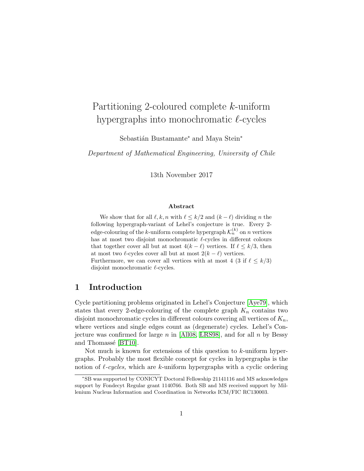# Partitioning 2-coloured complete k-uniform hypergraphs into monochromatic  $\ell$ -cycles

Sebastián Bustamante<sup>∗</sup> and Maya Stein<sup>∗</sup>

Department of Mathematical Engineering, University of Chile

13th November 2017

#### Abstract

We show that for all  $\ell, k, n$  with  $\ell \leq k/2$  and  $(k - \ell)$  dividing n the following hypergraph-variant of Lehel's conjecture is true. Every 2 edge-colouring of the *k*-uniform complete hypergraph  $\mathcal{K}_n^{(k)}$  on *n* vertices has at most two disjoint monochromatic  $\ell$ -cycles in different colours that together cover all but at most  $4(k - \ell)$  vertices. If  $\ell \leq k/3$ , then at most two  $\ell$ -cycles cover all but at most  $2(k - \ell)$  vertices. Furthermore, we can cover all vertices with at most 4 (3 if  $\ell \leq k/3$ ) disjoint monochromatic  $\ell$ -cycles.

## 1 Introduction

Cycle partitioning problems originated in Lehel's Conjecture [\[Aye79\]](#page-11-0), which states that every 2-edge-colouring of the complete graph  $K_n$  contains two disjoint monochromatic cycles in different colours covering all vertices of  $K_n$ , where vertices and single edges count as (degenerate) cycles. Lehel's Con-jecture was confirmed for large n in [\[All08,](#page-11-1) [LRS98\]](#page-12-0), and for all  $n$  by Bessy and Thomassé [\[BT10\]](#page-11-2).

Not much is known for extensions of this question to k-uniform hypergraphs. Probably the most flexible concept for cycles in hypergraphs is the notion of  $\ell$ -cycles, which are k-uniform hypergraphs with a cyclic ordering

<sup>∗</sup>SB was supported by CONICYT Doctoral Fellowship 21141116 and MS acknowledges support by Fondecyt Regular grant 1140766. Both SB and MS received support by Millenium Nucleus Information and Coordination in Networks ICM/FIC RC130003.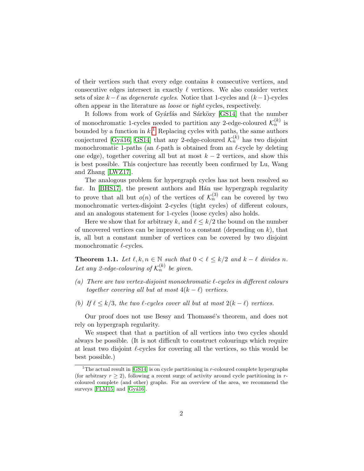of their vertices such that every edge contains k consecutive vertices, and consecutive edges intersect in exactly  $\ell$  vertices. We also consider vertex sets of size  $k - \ell$  as *degenerate cycles*. Notice that 1-cycles and  $(k - 1)$ -cycles often appear in the literature as loose or tight cycles, respectively.

It follows from work of Gyárfás and Sárközy [\[GS14\]](#page-11-3) that the number of monochromatic 1-cycles needed to partition any 2-edge-coloured  $\mathcal{K}_n^{(k)}$  is bounded by a function in  $k$ <sup>[1](#page-1-0)</sup>. Replacing cycles with paths, the same authors conjectured [Gyá16, [GS14\]](#page-11-3) that any 2-edge-coloured  $\mathcal{K}_n^{(k)}$  has two disjoint monochromatic 1-paths (an  $\ell$ -path is obtained from an  $\ell$ -cycle by deleting one edge), together covering all but at most  $k - 2$  vertices, and show this is best possible. This conjecture has recently been confirmed by Lu, Wang and Zhang [\[LWZ17\]](#page-12-2).

The analogous problem for hypergraph cycles has not been resolved so far. In [\[BHS17\]](#page-11-4), the present authors and Hán use hypergraph regularity to prove that all but  $o(n)$  of the vertices of  $\mathcal{K}_n^{(3)}$  can be covered by two monochromatic vertex-disjoint 2-cycles (tight cycles) of different colours, and an analogous statement for 1-cycles (loose cycles) also holds.

Here we show that for arbitrary k, and  $\ell \leq k/2$  the bound on the number of uncovered vertices can be improved to a constant (depending on  $k$ ), that is, all but a constant number of vertices can be covered by two disjoint monochromatic  $\ell$ -cycles.

<span id="page-1-1"></span>**Theorem 1.1.** Let  $\ell, k, n \in \mathbb{N}$  such that  $0 < \ell \leq k/2$  and  $k - \ell$  divides n. Let any 2-edge-colouring of  $\mathcal{K}_n^{(k)}$  be given.

- (a) There are two vertex-disjoint monochromatic  $\ell$ -cycles in different colours together covering all but at most  $4(k - \ell)$  vertices.
- (b) If  $\ell \leq k/3$ , the two  $\ell$ -cycles cover all but at most  $2(k \ell)$  vertices.

Our proof does not use Bessy and Thomassé's theorem, and does not rely on hypergraph regularity.

We suspect that that a partition of all vertices into two cycles should always be possible. (It is not difficult to construct colourings which require at least two disjoint  $\ell$ -cycles for covering all the vertices, so this would be best possible.)

<span id="page-1-0"></span><sup>&</sup>lt;sup>1</sup>The actual result in [\[GS14\]](#page-11-3) is on cycle partitioning in  $r$ -coloured complete hypergraphs (for arbitrary  $r \geq 2$ ), following a recent surge of activity around cycle partitioning in rcoloured complete (and other) graphs. For an overview of the area, we recommend the surveys  $[FLM15]$  and  $[Gy416]$ .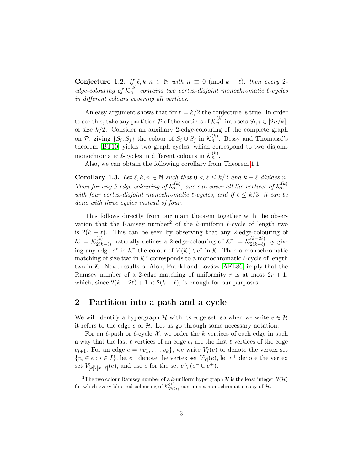**Conjecture 1.2.** If  $\ell, k, n \in \mathbb{N}$  with  $n \equiv 0 \pmod{k - \ell}$ , then every 2edge-colouring of  $\mathcal{K}_n^{(k)}$  contains two vertex-disjoint monochromatic  $\ell$ -cycles in different colours covering all vertices.

An easy argument shows that for  $\ell = k/2$  the conjecture is true. In order to see this, take any partition  $P$  of the vertices of  $\mathcal{K}_n^{(k)}$  into sets  $S_i, i \in [2n/k]$ , of size  $k/2$ . Consider an auxiliary 2-edge-colouring of the complete graph on  $P$ , giving  $\{S_i, S_j\}$  the colour of  $S_i \cup S_j$  in  $\mathcal{K}_n^{(k)}$ . Bessy and Thomassé's theorem [\[BT10\]](#page-11-2) yields two graph cycles, which correspond to two disjoint monochromatic  $\ell$ -cycles in different colours in  $\mathcal{K}_n^{(k)}$ .

Also, we can obtain the following corollary from Theorem [1.1.](#page-1-1)

**Corollary 1.3.** Let  $\ell, k, n \in \mathbb{N}$  such that  $0 < \ell \leq k/2$  and  $k - \ell$  divides n. Then for any 2-edge-colouring of  $\mathcal{K}_n^{(k)}$ , one can cover all the vertices of  $\mathcal{K}_n^{(k)}$ with four vertex-disjoint monochromatic  $\ell$ -cycles, and if  $\ell \leq k/3$ , it can be done with three cycles instead of four.

This follows directly from our main theorem together with the obser-vation that the Ramsey number<sup>[2](#page-2-0)</sup> of the k-uniform  $\ell$ -cycle of length two is  $2(k - \ell)$ . This can be seen by observing that any 2-edge-colouring of  $\mathcal{K} := \mathcal{K}_{2(k)}^{(k)}$  $\chi_{2(k-\ell)}^{(k)}$  naturally defines a 2-edge-colouring of  $\mathcal{K}^* := \mathcal{K}_{2(k-\ell)}^{(k-2\ell)}$  $\frac{2(k-2\ell)}{2(k-\ell)}$  by giving any edge  $e^*$  in  $\mathcal{K}^*$  the colour of  $V(\mathcal{K}) \setminus e^*$  in  $\mathcal{K}$ . Then a monochromatic matching of size two in  $K^*$  corresponds to a monochromatic  $\ell$ -cycle of length two in  $K$ . Now, results of Alon, Frankl and Lovász [\[AFL86\]](#page-11-6) imply that the Ramsey number of a 2-edge matching of uniformity r is at most  $2r + 1$ , which, since  $2(k - 2\ell) + 1 < 2(k - \ell)$ , is enough for our purposes.

#### 2 Partition into a path and a cycle

We will identify a hypergraph H with its edge set, so when we write  $e \in \mathcal{H}$ it refers to the edge  $e$  of  $H$ . Let us go through some necessary notation.

For an  $\ell$ -path or  $\ell$ -cycle X, we order the k vertices of each edge in such a way that the last  $\ell$  vertices of an edge  $e_i$  are the first  $\ell$  vertices of the edge  $e_{i+1}$ . For an edge  $e = \{v_1, \ldots, v_k\}$ , we write  $V_I(e)$  to denote the vertex set  $\{v_i \in e : i \in I\}$ , let  $e^-$  denote the vertex set  $V_{\lbrack \ell \rbrack}(e)$ , let  $e^+$  denote the vertex set  $V_{[k] \setminus [k-\ell]}(e)$ , and use  $\overset{\circ}{e}$  for the set  $e \setminus (e^- \cup e^+)$ .

<span id="page-2-0"></span><sup>&</sup>lt;sup>2</sup>The two colour Ramsey number of a k-uniform hypergraph  $H$  is the least integer  $R(H)$ for which every blue-red colouring of  $\mathcal{K}_{R(\mathcal{H})}^{(k)}$  contains a monochromatic copy of  $\mathcal{H}$ .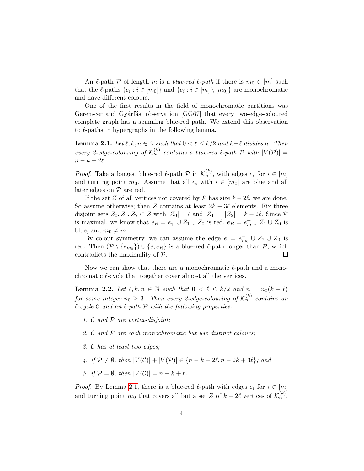An  $\ell$ -path P of length m is a blue-red  $\ell$ -path if there is  $m_0 \in [m]$  such that the  $\ell$ -paths  $\{e_i : i \in [m_0]\}$  and  $\{e_i : i \in [m] \setminus [m_0]\}$  are monochromatic and have different colours.

One of the first results in the field of monochromatic partitions was Gerenscer and Gyárfás' observation [GG67] that every two-edge-coloured complete graph has a spanning blue-red path. We extend this observation to  $\ell$ -paths in hypergraphs in the following lemma.

<span id="page-3-0"></span>**Lemma 2.1.** Let  $\ell, k, n \in \mathbb{N}$  such that  $0 < \ell \leq k/2$  and  $k-\ell$  divides n. Then every 2-edge-colouring of  $\mathcal{K}_n^{(k)}$  contains a blue-red  $\ell$ -path  $\mathcal P$  with  $|V(\mathcal P)| =$  $n - k + 2\ell$ .

*Proof.* Take a longest blue-red  $\ell$ -path  $\mathcal{P}$  in  $\mathcal{K}_n^{(k)}$ , with edges  $e_i$  for  $i \in [m]$ and turning point  $m_0$ . Assume that all  $e_i$  with  $i \in [m_0]$  are blue and all later edges on  $P$  are red.

If the set Z of all vertices not covered by P has size  $k - 2\ell$ , we are done. So assume otherwise; then Z contains at least  $2k - 3\ell$  elements. Fix three disjoint sets  $Z_0, Z_1, Z_2 \subset Z$  with  $|Z_0| = \ell$  and  $|Z_1| = |Z_2| = k - 2\ell$ . Since  $\mathcal{P}$ is maximal, we know that  $e_R = e_1^- \cup Z_1 \cup Z_0$  is red,  $e_B = e_m^+ \cup Z_1 \cup Z_0$  is blue, and  $m_0 \neq m$ .

By colour symmetry, we can assume the edge  $e = e_{m_0}^+ \cup Z_2 \cup Z_0$  is red. Then  $(\mathcal{P} \setminus \{e_{m_0}\}) \cup \{e, e_R\}$  is a blue-red  $\ell$ -path longer than  $\mathcal{P}$ , which contradicts the maximality of P.  $\Box$ 

Now we can show that there are a monochromatic  $\ell$ -path and a monochromatic  $\ell$ -cycle that together cover almost all the vertices.

<span id="page-3-1"></span>**Lemma 2.2.** Let  $\ell, k, n \in \mathbb{N}$  such that  $0 < \ell \leq k/2$  and  $n = n_0(k - \ell)$ for some integer  $n_0 \geq 3$ . Then every 2-edge-colouring of  $\mathcal{K}_n^{(k)}$  contains an  $\ell$ -cycle C and an  $\ell$ -path P with the following properties:

- 1. C and P are vertex-disjoint;
- 2. C and P are each monochromatic but use distinct colours;
- 3. C has at least two edges;
- 4. if  $\mathcal{P} \neq \emptyset$ , then  $|V(\mathcal{C})| + |V(\mathcal{P})| \in \{n k + 2\ell, n 2k + 3\ell\}$ ; and
- 5. if  $\mathcal{P} = \emptyset$ , then  $|V(\mathcal{C})| = n k + \ell$ .

*Proof.* By Lemma [2.1,](#page-3-0) there is a blue-red  $\ell$ -path with edges  $e_i$  for  $i \in [m]$ and turning point  $m_0$  that covers all but a set Z of  $k - 2\ell$  vertices of  $\mathcal{K}_n^{(k)}$ .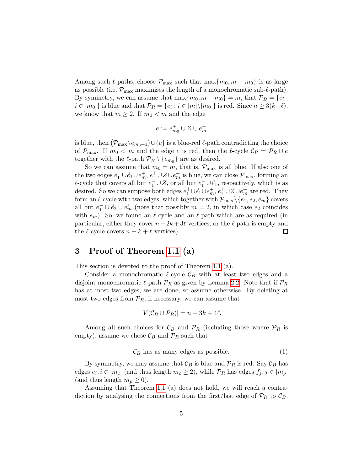Among such  $\ell$ -paths, choose  $\mathcal{P}_{\text{max}}$  such that  $\max\{m_0, m - m_0\}$  is as large as possible (i.e.  $\mathcal{P}_{\text{max}}$  maximises the length of a monochromatic sub- $\ell$ -path). By symmetry, we can assume that  $\max\{m_0, m - m_0\} = m$ , that  $\mathcal{P}_B = \{e_i :$  $i \in [m_0]$ } is blue and that  $\mathcal{P}_R = \{e_i : i \in [m] \setminus [m_0]\}$  is red. Since  $n \geq 3(k-\ell)$ , we know that  $m \geq 2$ . If  $m_0 < m$  and the edge

$$
e:=e_{m_0}^+\cup Z\cup e_m^+
$$

is blue, then  $(\mathcal{P}_{\max}\backslash e_{m_0+1})\!\cup\!\{e\}$  is a blue-red  $\ell$ -path contradicting the choice of  $\mathcal{P}_{\text{max}}$ . If  $m_0 < m$  and the edge e is red, then the  $\ell$ -cycle  $\mathcal{C}_R = \mathcal{P}_R \cup e$ together with the  $\ell$ -path  $\mathcal{P}_B \setminus \{e_{m_0}\}\$ are as desired.

So we can assume that  $m_0 = m$ , that is,  $\mathcal{P}_{\text{max}}$  is all blue. If also one of the two edges  $e_1^+ \cup e_1^+ \cup e_m^+$ ,  $e_1^+ \cup Z \cup e_m^+$  is blue, we can close  $\mathcal{P}_{\text{max}}$ , forming an  $\ell$ -cycle that covers all but  $e_1^{\perp} \cup Z$ , or all but  $e_1^{\perp} \cup e_1^{\perp}$ , respectively, which is as desired. So we can suppose both edges  $e_1^+ \cup e_1 \cup e_m^+$ ,  $e_1^+ \cup Z \cup e_m^+$  are red. They form an  $\ell$ -cycle with two edges, which together with  $\mathcal{P}_{\text{max}}\backslash\{e_1, e_2, e_m\}$  covers all but  $e_1^- \cup e_2 \cup e_m^+$  (note that possibly  $m = 2$ , in which case  $e_2$  coincides with  $e_m$ ). So, we found an  $\ell$ -cycle and an  $\ell$ -path which are as required (in particular, either they cover  $n-2k+3\ell$  vertices, or the  $\ell$ -path is empty and the  $\ell$ -cycle covers  $n - k + \ell$  vertices).  $\Box$ 

## 3 Proof of Theorem [1.1](#page-1-1) (a)

This section is devoted to the proof of Theorem [1.1](#page-1-1) (a).

Consider a monochromatic  $\ell$ -cycle  $\mathcal{C}_B$  with at least two edges and a disjoint monochromatic  $\ell$ -path  $\mathcal{P}_R$  as given by Lemma [2.2.](#page-3-1) Note that if  $\mathcal{P}_R$ has at most two edges, we are done, so assume otherwise. By deleting at most two edges from  $\mathcal{P}_R$ , if necessary, we can assume that

$$
|V(\mathcal{C}_B \cup \mathcal{P}_R)| = n - 3k + 4\ell.
$$

Among all such choices for  $\mathcal{C}_B$  and  $\mathcal{P}_R$  (including those where  $\mathcal{P}_R$  is empty), assume we chose  $\mathcal{C}_B$  and  $\mathcal{P}_R$  such that

<span id="page-4-0"></span>
$$
\mathcal{C}_B
$$
 has as many edges as possible. (1)

By symmetry, we may assume that  $\mathcal{C}_B$  is blue and  $\mathcal{P}_R$  is red. Say  $\mathcal{C}_B$  has edges  $e_i, i \in [m_c]$  (and thus length  $m_c \ge 2$ ), while  $\mathcal{P}_R$  has edges  $f_j, j \in [m_p]$ (and thus length  $m_n \geq 0$ ).

Assuming that Theorem [1.1](#page-1-1) (a) does not hold, we will reach a contradiction by analysing the connections from the first/last edge of  $\mathcal{P}_R$  to  $\mathcal{C}_B$ .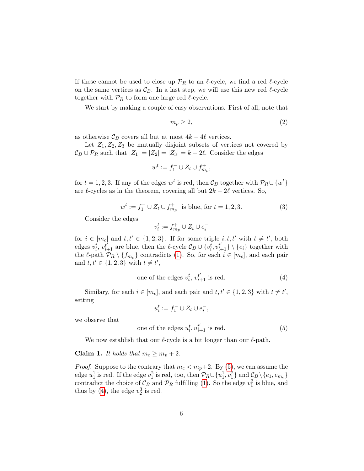If these cannot be used to close up  $\mathcal{P}_R$  to an  $\ell$ -cycle, we find a red  $\ell$ -cycle on the same vertices as  $\mathcal{C}_B$ . In a last step, we will use this new red  $\ell$ -cycle together with  $\mathcal{P}_R$  to form one large red  $\ell$ -cycle.

We start by making a couple of easy observations. First of all, note that

<span id="page-5-4"></span>
$$
m_p \ge 2,\tag{2}
$$

as otherwise  $\mathcal{C}_B$  covers all but at most  $4k - 4\ell$  vertices.

Let  $Z_1, Z_2, Z_3$  be mutually disjoint subsets of vertices not covered by  $\mathcal{C}_B \cup \mathcal{P}_R$  such that  $|Z_1| = |Z_2| = |Z_3| = k - 2\ell$ . Consider the edges

$$
w^t := f_1^- \cup Z_t \cup f_{m_p}^+,
$$

for  $t = 1, 2, 3$ . If any of the edges  $w^t$  is red, then  $\mathcal{C}_B$  together with  $\mathcal{P}_R \cup \{w^t\}$ are  $\ell$ -cycles as in the theorem, covering all but  $2k - 2\ell$  vertices. So,

<span id="page-5-2"></span>
$$
w^{t} := f_{1}^{-} \cup Z_{t} \cup f_{m_{p}}^{+} \text{ is blue, for } t = 1, 2, 3.
$$
 (3)

Consider the edges

$$
v_i^t:=f_{m_p}^+\cup Z_t\cup e_i^-
$$

for  $i \in [m_c]$  and  $t, t' \in \{1, 2, 3\}$ . If for some triple  $i, t, t'$  with  $t \neq t'$ , both edges  $v_i^t$ ,  $v_{i+1}^{t'}$  are blue, then the  $\ell$ -cycle  $\mathcal{C}_B \cup \{v_i^t, v_{i+1}^{t'}\} \setminus \{e_i\}$  together with the  $\ell$ -path  $\mathcal{P}_R \setminus \{f_{m_p}\}\$ contradicts [\(1\)](#page-4-0). So, for each  $i \in [m_c]$ , and each pair and  $t, t' \in \{1, 2, 3\}$  with  $t \neq t'$ ,

<span id="page-5-1"></span>one of the edges 
$$
v_i^t
$$
,  $v_{i+1}^{t'}$  is red. (4)

Similary, for each  $i \in [m_c]$ , and each pair and  $t, t' \in \{1, 2, 3\}$  with  $t \neq t'$ , setting

$$
u_i^t := f_1^- \cup Z_t \cup e_i^-,
$$

we observe that

<span id="page-5-0"></span>one of the edges 
$$
u_i^t, u_{i+1}^{t'}
$$
 is red. (5)

We now establish that our  $\ell$ -cycle is a bit longer than our  $\ell$ -path.

#### <span id="page-5-3"></span>**Claim 1.** It holds that  $m_c \geq m_p + 2$ .

*Proof.* Suppose to the contrary that  $m_c < m_p+2$ . By [\(5\)](#page-5-0), we can assume the edge  $u_1^1$  is red. If the edge  $v_1^2$  is red, too, then  $\mathcal{P}_R \cup \{u_1^1, v_1^2\}$  and  $\mathcal{C}_B \setminus \{e_1, e_{m_c}\}\$ contradict the choice of  $\mathcal{C}_B$  and  $\mathcal{P}_R$  fulfilling [\(1\)](#page-4-0). So the edge  $v_1^2$  is blue, and thus by [\(4\)](#page-5-1), the edge  $v_2^3$  is red.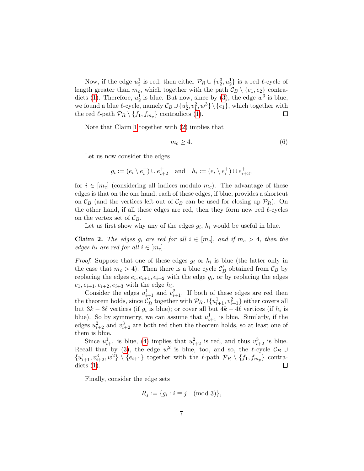Now, if the edge  $u_2^1$  is red, then either  $\mathcal{P}_R \cup \{v_2^3, u_2^1\}$  is a red  $\ell$ -cycle of length greater than  $m_c$ , which together with the path  $\mathcal{C}_B \setminus \{e_1, e_2\}$  contra-dicts [\(1\)](#page-4-0). Therefore,  $u_2^1$  is blue. But now, since by [\(3\)](#page-5-2), the edge  $w^3$  is blue, we found a blue  $\ell$ -cycle, namely  $\mathcal{C}_B \cup \{u_2^1, v_1^2, w^3\} \setminus \{e_1\}$ , which together with the red  $\ell$ -path  $\mathcal{P}_R \setminus \{f_1, f_{m_p}\}\$ contradicts [\(1\)](#page-4-0).  $\Box$ 

Note that Claim [1](#page-5-3) together with [\(2\)](#page-5-4) implies that

<span id="page-6-0"></span>
$$
m_c \ge 4. \tag{6}
$$

Let us now consider the edges

$$
g_i := (e_i \setminus e_i^+) \cup e_{i+2}^+ \quad \text{and} \quad h_i := (e_i \setminus e_i^+) \cup e_{i+3}^+,
$$

for  $i \in [m_c]$  (considering all indices modulo  $m_c$ ). The advantage of these edges is that on the one hand, each of these edges, if blue, provides a shortcut on  $\mathcal{C}_B$  (and the vertices left out of  $\mathcal{C}_B$  can be used for closing up  $\mathcal{P}_R$ ). On the other hand, if all these edges are red, then they form new red  $\ell$ -cycles on the vertex set of  $\mathcal{C}_B$ .

Let us first show why any of the edges  $g_i$ ,  $h_i$  would be useful in blue.

<span id="page-6-1"></span>**Claim 2.** The edges  $g_i$  are red for all  $i \in [m_c]$ , and if  $m_c > 4$ , then the edges  $h_i$  are red for all  $i \in [m_c]$ .

*Proof.* Suppose that one of these edges  $g_i$  or  $h_i$  is blue (the latter only in the case that  $m_c > 4$ ). Then there is a blue cycle  $\mathcal{C}'_B$  obtained from  $\mathcal{C}_B$  by replacing the edges  $e_i, e_{i+1}, e_{i+2}$  with the edge  $g_i$ , or by replacing the edges  $e_1, e_{i+1}, e_{i+2}, e_{i+3}$  with the edge  $h_i$ .

Consider the edges  $u_{i+1}^1$  and  $v_{i+1}^2$ . If both of these edges are red then the theorem holds, since  $\mathcal{C}'_B$  together with  $\mathcal{P}_R \cup \{u^1_{i+1}, v^2_{i+1}\}$  either covers all but  $3k - 3\ell$  vertices (if  $g_i$  is blue); or cover all but  $4k - 4\ell$  vertices (if  $h_i$  is blue). So by symmetry, we can assume that  $u_{i+1}^1$  is blue. Similarly, if the edges  $u_{i+2}^2$  and  $v_{i+2}^3$  are both red then the theorem holds, so at least one of them is blue.

Since  $u_{i+1}^1$  is blue, [\(4\)](#page-5-1) implies that  $u_{i+2}^2$  is red, and thus  $v_{i+2}^3$  is blue. Recall that by [\(3\)](#page-5-2), the edge  $w^2$  is blue, too, and so, the  $\ell$ -cycle  $\mathcal{C}_B \cup$  ${u_{i+1}^1, v_{i+2}^3, w^2} \setminus {e_{i+1}}$  together with the  $\ell$ -path  $\mathcal{P}_R \setminus {f_1, f_{m_p}}$  contradicts [\(1\)](#page-4-0). П

Finally, consider the edge sets

$$
R_j := \{ g_i : i \equiv j \pmod{3} \},
$$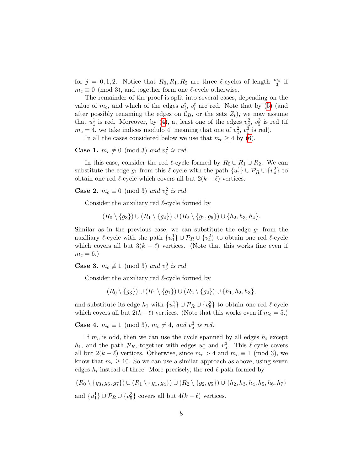for  $j = 0, 1, 2$ . Notice that  $R_0, R_1, R_2$  are three  $\ell$ -cycles of length  $\frac{m_c}{3}$  if  $m_c \equiv 0 \pmod{3}$ , and together form one  $\ell$ -cycle otherwise.

The remainder of the proof is split into several cases, depending on the value of  $m_c$ , and which of the edges  $u_i^t$ ,  $v_i^t$  are red. Note that by [\(5\)](#page-5-0) (and after possibly renaming the edges on  $\mathcal{C}_B$ , or the sets  $Z_t$ , we may assume that  $u_1^1$  is red. Moreover, by [\(4\)](#page-5-1), at least one of the edges  $v_4^2$ ,  $v_5^3$  is red (if  $m_c = 4$ , we take indices modulo 4, meaning that one of  $v_4^2$ ,  $v_1^3$  is red).

In all the cases considered below we use that  $m_c \geq 4$  by [\(6\)](#page-6-0).

**Case 1.**  $m_c \not\equiv 0 \pmod{3}$  and  $v_4^2$  is red.

In this case, consider the red  $\ell$ -cycle formed by  $R_0 \cup R_1 \cup R_2$ . We can substitute the edge  $g_1$  from this  $\ell$ -cycle with the path  $\{u_1^1\} \cup \mathcal{P}_R \cup \{v_4^2\}$  to obtain one red  $\ell$ -cycle which covers all but  $2(k - \ell)$  vertices.

**Case 2.**  $m_c \equiv 0 \pmod{3}$  and  $v_4^2$  is red.

Consider the auxiliary red  $\ell$ -cycle formed by

 $(R_0 \setminus \{g_3\}) \cup (R_1 \setminus \{g_4\}) \cup (R_2 \setminus \{g_2, g_5\}) \cup \{h_2, h_3, h_4\}.$ 

Similar as in the previous case, we can substitute the edge  $g_1$  from the auxiliary  $\ell$ -cycle with the path  $\{u_1^1\} \cup \mathcal{P}_R \cup \{v_4^2\}$  to obtain one red  $\ell$ -cycle which covers all but  $3(k - \ell)$  vertices. (Note that this works fine even if  $m_c = 6.$ 

**Case 3.**  $m_c \not\equiv 1 \pmod{3}$  and  $v_5^3$  is red.

Consider the auxiliary red  $\ell$ -cycle formed by

 $(R_0 \setminus \{g_3\}) \cup (R_1 \setminus \{g_1\}) \cup (R_2 \setminus \{g_2\}) \cup \{h_1, h_2, h_3\},$ 

and substitute its edge  $h_1$  with  $\{u_1^1\} \cup \mathcal{P}_R \cup \{v_5^3\}$  to obtain one red  $\ell$ -cycle which covers all but  $2(k - \ell)$  vertices. (Note that this works even if  $m_c = 5$ .)

**Case 4.**  $m_c \equiv 1 \pmod{3}$ ,  $m_c \neq 4$ , and  $v_5^3$  is red.

If  $m_c$  is odd, then we can use the cycle spanned by all edges  $h_i$  except  $h_1$ , and the path  $\mathcal{P}_R$ , together with edges  $u_1^1$  and  $v_5^3$ . This  $\ell$ -cycle covers all but  $2(k - \ell)$  vertices. Otherwise, since  $m_c > 4$  and  $m_c \equiv 1 \pmod{3}$ , we know that  $m_c \geq 10$ . So we can use a similar approach as above, using seven edges  $h_i$  instead of three. More precisely, the red  $\ell$ -path formed by

 $(R_0 \setminus \{g_3, g_6, g_7\}) \cup (R_1 \setminus \{g_1, g_4\}) \cup (R_2 \setminus \{g_2, g_5\}) \cup \{h_2, h_3, h_4, h_5, h_6, h_7\}$ and  $\{u_1^1\} \cup \mathcal{P}_R \cup \{v_5^3\}$  covers all but  $4(k-\ell)$  vertices.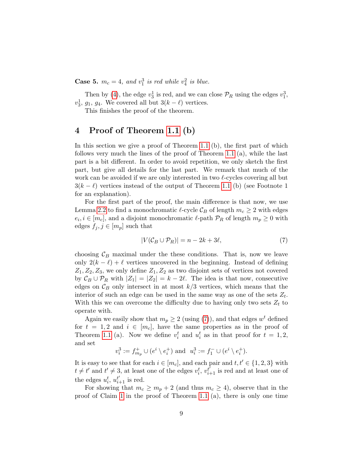**Case 5.**  $m_c = 4$ , and  $v_1^3$  is red while  $v_4^2$  is blue.

Then by [\(4\)](#page-5-1), the edge  $v_3^1$  is red, and we can close  $\mathcal{P}_R$  using the edges  $v_1^3$ ,  $v_3^1$ ,  $g_1$ ,  $g_4$ . We covered all but  $3(k - \ell)$  vertices.

This finishes the proof of the theorem.

## 4 Proof of Theorem [1.1](#page-1-1) (b)

In this section we give a proof of Theorem [1.1](#page-1-1) (b), the first part of which follows very much the lines of the proof of Theorem [1.1](#page-1-1) (a), while the last part is a bit different. In order to avoid repetition, we only sketch the first part, but give all details for the last part. We remark that much of the work can be avoided if we are only interested in two  $\ell$ -cycles covering all but  $3(k - \ell)$  vertices instead of the output of Theorem [1.1](#page-1-1) (b) (see Footnote 1 for an explanation).

For the first part of the proof, the main difference is that now, we use Lemma [2.2](#page-3-1) to find a monochromatic  $\ell$ -cycle  $\mathcal{C}_B$  of length  $m_c \geq 2$  with edges  $e_i, i \in [m_c]$ , and a disjoint monochromatic  $\ell$ -path  $\mathcal{P}_R$  of length  $m_p \geq 0$  with edges  $f_j, j \in [m_p]$  such that

<span id="page-8-0"></span>
$$
|V(\mathcal{C}_B \cup \mathcal{P}_R)| = n - 2k + 3\ell,\tag{7}
$$

choosing  $\mathcal{C}_B$  maximal under the these conditions. That is, now we leave only  $2(k - \ell) + \ell$  vertices uncovered in the beginning. Instead of defining  $Z_1, Z_2, Z_3$ , we only define  $Z_1, Z_2$  as two disjoint sets of vertices not covered by  $\mathcal{C}_B \cup \mathcal{P}_R$  with  $|Z_1| = |Z_2| = k - 2\ell$ . The idea is that now, consecutive edges on  $\mathcal{C}_B$  only intersect in at most  $k/3$  vertices, which means that the interior of such an edge can be used in the same way as one of the sets  $Z_t$ . With this we can overcome the difficulty due to having only two sets  $Z_t$  to operate with.

Again we easily show that  $m_p \geq 2$  (using [\(7\)](#page-8-0)), and that edges  $w<sup>t</sup>$  defined for  $t = 1, 2$  and  $i \in [m_c]$ , have the same properties as in the proof of Theorem [1.1](#page-1-1) (a). Now we define  $v_i^t$  and  $u_i^t$  as in that proof for  $t = 1, 2$ , and set

$$
v_i^3 := f_{m_p}^+ \cup (e^i \setminus e_i^+) \text{ and } u_i^3 := f_1^- \cup (e^i \setminus e_i^+).
$$

It is easy to see that for each  $i \in [m_c]$ , and each pair and  $t, t' \in \{1, 2, 3\}$  with  $t \neq t'$  and  $t' \neq 3$ , at least one of the edges  $v_i^t$ ,  $v_{i+1}^{t'}$  is red and at least one of the edges  $u_i^t$ ,  $u_{i+1}^{t'}$  is red.

For showing that  $m_c \geq m_p + 2$  (and thus  $m_c \geq 4$ ), observe that in the proof of Claim [1](#page-5-3) in the proof of Theorem [1.1](#page-1-1) (a), there is only one time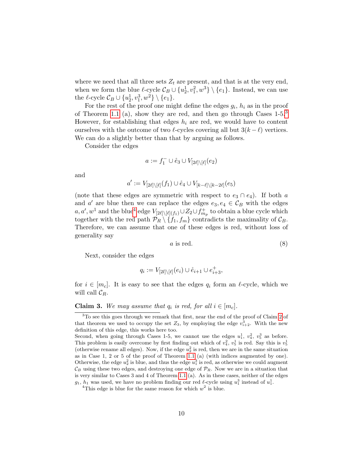where we need that all three sets  $Z_t$  are present, and that is at the very end, when we form the blue  $\ell$ -cycle  $\mathcal{C}_B \cup \{u_2^1, v_1^2, w^3\} \setminus \{e_1\}$ . Instead, we can use the  $\ell$ -cycle  $\mathcal{C}_B \cup \{u_2^1, v_1^3, w^2\} \setminus \{e_1\}.$ 

For the rest of the proof one might define the edges  $g_i$ ,  $h_i$  as in the proof of Theorem [1.1](#page-1-1) (a), show they are red, and then go through Cases  $1-5.3$  $1-5.3$ However, for establishing that edges  $h_i$  are red, we would have to content ourselves with the outcome of two  $\ell$ -cycles covering all but  $3(k - \ell)$  vertices. We can do a slightly better than that by arguing as follows.

Consider the edges

$$
a:=f_1^-\cup \mathring{e}_3\cup V_{[2\ell]\setminus[\ell]}(e_2)
$$

and

$$
a' := V_{[2\ell] \setminus [\ell]}(f_1) \cup \mathring{e}_4 \cup V_{[k-\ell] \setminus [k-2\ell]}(e_5)
$$

(note that these edges are symmetric with respect to  $e_3 \cap e_4$ ). If both a and a' are blue then we can replace the edges  $e_3, e_4 \in C_B$  with the edges  $a, a', w^1$  and the blue<sup>[4](#page-9-1)</sup> edge  $V_{[2\ell]\setminus [\ell](f_1)} \cup Z_2 \cup f^+_{m_p}$  to obtain a blue cycle which together with the red path  $\mathcal{P}_R \setminus \{f_1, f_m\}$  contradicts the maximality of  $\mathcal{C}_B$ . Therefore, we can assume that one of these edges is red, without loss of generality say

<span id="page-9-2"></span>
$$
a \text{ is red.} \tag{8}
$$

Next, consider the edges

$$
q_i:=V_{[2l]\backslash [\ell]}(e_i)\cup \mathring{e}_{i+1}\cup e^+_{i+3},
$$

for  $i \in [m_c]$ . It is easy to see that the edges  $q_i$  form an  $\ell$ -cycle, which we will call  $\mathcal{C}_R$ .

<span id="page-9-3"></span>**Claim 3.** We may assume that  $q_i$  is red, for all  $i \in [m_c]$ .

<span id="page-9-0"></span><sup>&</sup>lt;sup>3</sup>To see this goes through we remark that first, near the end of the proof of Claim [2](#page-6-1) of that theorem we used to occupy the set  $Z_3$ , by employing the edge  $v_{i+2}^3$ . With the new definition of this edge, this works here too.

Second, when going through Cases 1-5, we cannot use the edges  $u_1^1, v_4^2, v_5^3$  as before. This problem is easily overcome by first finding out which of  $v_4^2$ ,  $v_5^1$  is red. Say this is  $v_5^1$ (otherwise rename all edges). Now, if the edge  $u_2^2$  is red, then we are in the same situation as in Case 1, 2 or 5 of the proof of Theorem [1.1](#page-1-1) (a) (with indices augmented by one). Otherwise, the edge  $u_2^2$  is blue, and thus the edge  $u_1^3$  is red, as otherwise we could augment  $\mathcal{C}_B$  using these two edges, and destroying one edge of  $\mathcal{P}_R$ . Now we are in a situation that is very similar to Cases 3 and 4 of Theorem [1.1](#page-1-1) (a). As in these cases, neither of the edges  $g_1$ ,  $h_1$  was used, we have no problem finding our red  $\ell$ -cycle using  $u_1^3$  instead of  $u_1^1$ .

<span id="page-9-1"></span><sup>&</sup>lt;sup>4</sup>This edge is blue for the same reason for which  $w^2$  is blue.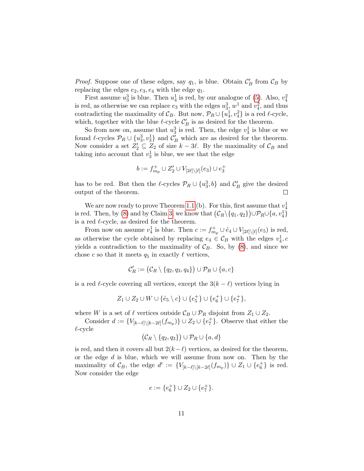*Proof.* Suppose one of these edges, say  $q_1$ , is blue. Obtain  $\mathcal{C}'_B$  from  $\mathcal{C}_B$  by replacing the edges  $e_2, e_3, e_4$  with the edge  $q_1$ .

First assume  $u_3^3$  is blue. Then  $u_4^1$  is red, by our analogue of [\(5\)](#page-5-0). Also,  $v_4^2$ is red, as otherwise we can replace  $e_3$  with the edges  $u_3^3$ ,  $w_1^1$  and  $v_4^2$ , and thus contradicting the maximality of  $\mathcal{C}_B$ . But now,  $\mathcal{P}_R \cup \{u_4^1, v_4^2\}$  is a red  $\ell$ -cycle, which, together with the blue  $\ell$ -cycle  $\mathcal{C}'_B$  is as desired for the theorem.

So from now on, assume that  $u_3^3$  is red. Then, the edge  $v_3^1$  is blue or we found  $\ell$ -cycles  $\mathcal{P}_R \cup \{u_3^3, v_3^1\}$  and  $\mathcal{C}'_B$  which are as desired for the theorem. Now consider a set  $Z'_2 \subseteq Z_2$  of size  $k - 3\ell$ . By the maximality of  $\mathcal{C}_B$  and taking into account that  $v_3^1$  is blue, we see that the edge

$$
b:=f_{m_p}^+\cup Z'_2\cup V_{[2\ell]\backslash [\ell]}(e_3)\cup e_3^+
$$

has to be red. But then the  $\ell$ -cycles  $\mathcal{P}_R \cup \{u_3^3, b\}$  and  $\mathcal{C}'_B$  give the desired output of the theorem.  $\Box$ 

We are now ready to prove Theorem [1.1](#page-1-1) (b). For this, first assume that  $v_4^1$ is red. Then, by [\(8\)](#page-9-2) and by Claim [3,](#page-9-3) we know that  $(\mathcal{C}_R \setminus \{q_1, q_2\}) \cup \mathcal{P}_R \cup \{a, v_4^1\}$ is a red  $\ell$ -cycle, as desired for the theorem.

From now on assume  $v_4^1$  is blue. Then  $c := f_{m_p}^+ \cup \mathring{e}_4 \cup V_{[2\ell] \setminus [\ell]}(e_5)$  is red, as otherwise the cycle obtained by replacing  $e_4 \in C_B$  with the edges  $v_4^1$ , c yields a contradiction to the maximality of  $\mathcal{C}_B$ . So, by [\(8\)](#page-9-2), and since we chose c so that it meets  $q_5$  in exactly  $\ell$  vertices,

$$
\mathcal{C}'_R:=\big(\mathcal{C}_R\setminus\{q_2,q_3,q_4\}\big)\cup\mathcal{P}_R\cup\{a,c\}
$$

is a red  $\ell$ -cycle covering all vertices, except the  $3(k - \ell)$  vertices lying in

$$
Z_1 \cup Z_2 \cup W \cup \{ \mathring{e}_5 \setminus c \} \cup \{ e_5^+ \} \cup \{ e_6^+ \} \cup \{ e_7^+ \},
$$

where W is a set of  $\ell$  vertices outside  $\mathcal{C}_B \cup \mathcal{P}_R$  disjoint from  $Z_1 \cup Z_2$ .

Consider  $d := \{V_{[k-\ell]\setminus [k-2\ell]}(f_{m_p})\} \cup Z_2 \cup \{e_7^+\}$ . Observe that either the  $\ell$ -cycle

$$
(\mathcal{C}_R \setminus \{q_2, q_3\}) \cup \mathcal{P}_R \cup \{a, d\}
$$

is red, and then it covers all but  $2(k-\ell)$  vertices, as desired for the theorem, or the edge  $d$  is blue, which we will assume from now on. Then by the maximality of  $\mathcal{C}_B$ , the edge  $d' := \{V_{[k-\ell]\setminus [k-2\ell]}(f_{m_p})\} \cup Z_1 \cup \{e_6^+\}\$ is red. Now consider the edge

$$
e:=\{e_6^+\}\cup Z_2\cup \{e_7^+\}.
$$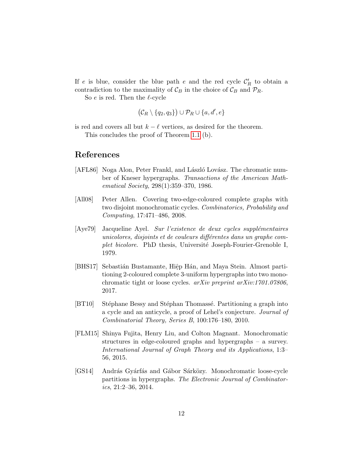If e is blue, consider the blue path e and the red cycle  $\mathcal{C}'_R$  to obtain a contradiction to the maximality of  $\mathcal{C}_B$  in the choice of  $\mathcal{C}_B$  and  $\mathcal{P}_R$ .

So  $e$  is red. Then the  $\ell$ -cycle

$$
(\mathcal{C}_R \setminus \{q_2, q_3\}) \cup \mathcal{P}_R \cup \{a, d', e\}
$$

is red and covers all but  $k - \ell$  vertices, as desired for the theorem. This concludes the proof of Theorem [1.1](#page-1-1) (b).

#### References

- <span id="page-11-6"></span>[AFL86] Noga Alon, Peter Frankl, and László Lovász. The chromatic number of Kneser hypergraphs. Transactions of the American Mathematical Society, 298(1):359–370, 1986.
- <span id="page-11-1"></span>[All08] Peter Allen. Covering two-edge-coloured complete graphs with two disjoint monochromatic cycles. Combinatorics, Probability and Computing, 17:471–486, 2008.
- <span id="page-11-0"></span> $[Aye79]$  Jacqueline Ayel. Sur l'existence de deux cycles supplémentaires unicolores, disjoints et de couleurs différentes dans un graphe complet bicolore. PhD thesis, Université Joseph-Fourier-Grenoble I, 1979.
- <span id="page-11-4"></span>[BHS17] Sebastián Bustamante, Hiệp Hán, and Maya Stein. Almost partitioning 2-coloured complete 3-uniform hypergraphs into two monochromatic tight or loose cycles. arXiv preprint arXiv:1701.07806, 2017.
- <span id="page-11-2"></span>[BT10] Stéphane Bessy and Stéphan Thomassé. Partitioning a graph into a cycle and an anticycle, a proof of Lehel's conjecture. Journal of Combinatorial Theory, Series B, 100:176–180, 2010.
- <span id="page-11-5"></span>[FLM15] Shinya Fujita, Henry Liu, and Colton Magnant. Monochromatic structures in edge-coloured graphs and hypergraphs – a survey. International Journal of Graph Theory and its Applications, 1:3– 56, 2015.
- <span id="page-11-3"></span>[GS14] András Gyárfás and Gábor Sárközy. Monochromatic loose-cycle partitions in hypergraphs. The Electronic Journal of Combinator $ics, 21:2-36, 2014.$